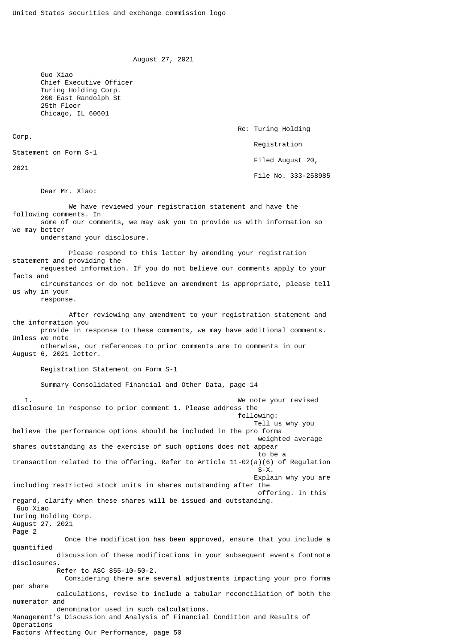August 27, 2021

Re: Turing Holding

Registration

Filed August 20,

File No. 333-258985

 Guo Xiao Chief Executive Officer Turing Holding Corp. 200 East Randolph St 25th Floor Chicago, IL 60601

Corp.

Statement on Form S-1

2021

Dear Mr. Xiao:

 We have reviewed your registration statement and have the following comments. In some of our comments, we may ask you to provide us with information so we may better understand your disclosure. Please respond to this letter by amending your registration statement and providing the requested information. If you do not believe our comments apply to your facts and circumstances or do not believe an amendment is appropriate, please tell us why in your response. After reviewing any amendment to your registration statement and the information you provide in response to these comments, we may have additional comments. Unless we note otherwise, our references to prior comments are to comments in our August 6, 2021 letter. Registration Statement on Form S-1 Summary Consolidated Financial and Other Data, page 14 1. We note your revised disclosure in response to prior comment 1. Please address the following: Tell us why you believe the performance options should be included in the pro forma weighted average shares outstanding as the exercise of such options does not appear to be a state of the state of the state of the state of the state of the state of the state of the state of the transaction related to the offering. Refer to Article 11-02(a)(6) of Regulation  $S-X$ . Explain why you are including restricted stock units in shares outstanding after the offering. In this regard, clarify when these shares will be issued and outstanding. Guo Xiao Turing Holding Corp. August 27, 2021 Page 2 Once the modification has been approved, ensure that you include a quantified discussion of these modifications in your subsequent events footnote disclosures. Refer to ASC 855-10-50-2. Considering there are several adjustments impacting your pro forma per share calculations, revise to include a tabular reconciliation of both the numerator and denominator used in such calculations. Management's Discussion and Analysis of Financial Condition and Results of Operations Factors Affecting Our Performance, page 50